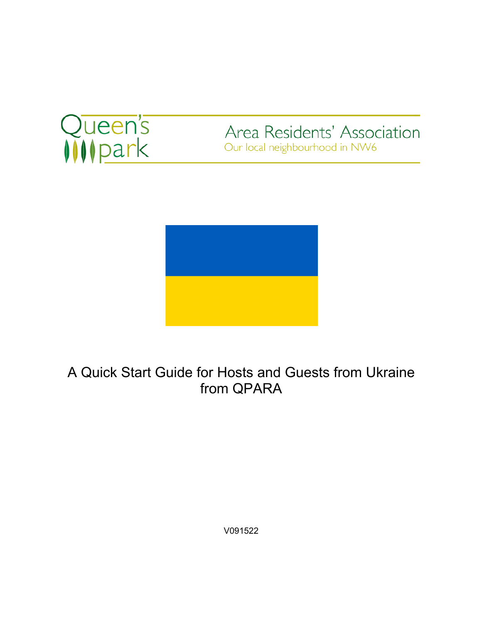

Area Residents' Association Our local neighbourhood in NW6



A Quick Start Guide for Hosts and Guests from Ukraine from QPARA

V091522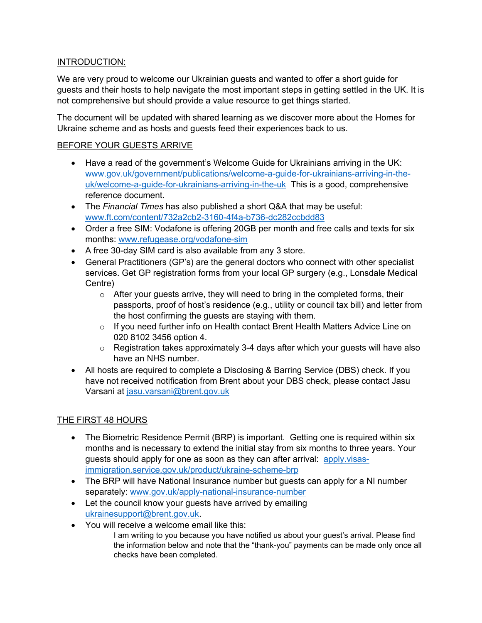# INTRODUCTION:

We are very proud to welcome our Ukrainian guests and wanted to offer a short guide for guests and their hosts to help navigate the most important steps in getting settled in the UK. It is not comprehensive but should provide a value resource to get things started.

The document will be updated with shared learning as we discover more about the Homes for Ukraine scheme and as hosts and guests feed their experiences back to us.

## BEFORE YOUR GUESTS ARRIVE

- Have a read of the government's Welcome Guide for Ukrainians arriving in the UK: www.gov.uk/government/publications/welcome-a-guide-for-ukrainians-arriving-in-theuk/welcome-a-guide-for-ukrainians-arriving-in-the-uk This is a good, comprehensive reference document.
- The *Financial Times* has also published a short Q&A that may be useful: www.ft.com/content/732a2cb2-3160-4f4a-b736-dc282ccbdd83
- Order a free SIM: Vodafone is offering 20GB per month and free calls and texts for six months: www.refugease.org/vodafone-sim
- A free 30-day SIM card is also available from any 3 store.
- General Practitioners (GP's) are the general doctors who connect with other specialist services. Get GP registration forms from your local GP surgery (e.g., Lonsdale Medical Centre)
	- o After your guests arrive, they will need to bring in the completed forms, their passports, proof of host's residence (e.g., utility or council tax bill) and letter from the host confirming the guests are staying with them.
	- o If you need further info on Health contact Brent Health Matters Advice Line on 020 8102 3456 option 4.
	- $\circ$  Registration takes approximately 3-4 days after which your guests will have also have an NHS number.
- All hosts are required to complete a Disclosing & Barring Service (DBS) check. If you have not received notification from Brent about your DBS check, please contact Jasu Varsani at jasu.varsani@brent.gov.uk

## THE FIRST 48 HOURS

- The Biometric Residence Permit (BRP) is important. Getting one is required within six months and is necessary to extend the initial stay from six months to three years. Your guests should apply for one as soon as they can after arrival: apply.visasimmigration.service.gov.uk/product/ukraine-scheme-brp
- The BRP will have National Insurance number but quests can apply for a NI number separately: www.gov.uk/apply-national-insurance-number
- Let the council know your guests have arrived by emailing ukrainesupport@brent.gov.uk.
- You will receive a welcome email like this:
	- I am writing to you because you have notified us about your guest's arrival. Please find the information below and note that the "thank-you" payments can be made only once all checks have been completed.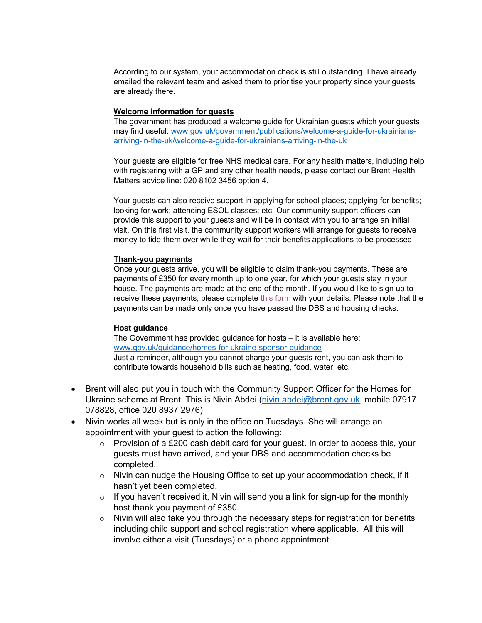According to our system, your accommodation check is still outstanding. I have already emailed the relevant team and asked them to prioritise your property since your guests are already there.

#### **Welcome information for guests**

The government has produced a welcome guide for Ukrainian guests which your guests may find useful: www.gov.uk/government/publications/welcome-a-guide-for-ukrainiansarriving-in-the-uk/welcome-a-guide-for-ukrainians-arriving-in-the-uk

Your guests are eligible for free NHS medical care. For any health matters, including help with registering with a GP and any other health needs, please contact our Brent Health Matters advice line: 020 8102 3456 option 4.

Your guests can also receive support in applying for school places; applying for benefits; looking for work; attending ESOL classes; etc. Our community support officers can provide this support to your guests and will be in contact with you to arrange an initial visit. On this first visit, the community support workers will arrange for guests to receive money to tide them over while they wait for their benefits applications to be processed.

#### **Thank-you payments**

Once your guests arrive, you will be eligible to claim thank-you payments. These are payments of £350 for every month up to one year, for which your guests stay in your house. The payments are made at the end of the month. If you would like to sign up to receive these payments, please complete this form with your details. Please note that the payments can be made only once you have passed the DBS and housing checks.

#### **Host guidance**

The Government has provided guidance for hosts – it is available here: www.gov.uk/guidance/homes-for-ukraine-sponsor-guidance Just a reminder, although you cannot charge your guests rent, you can ask them to contribute towards household bills such as heating, food, water, etc.

- Brent will also put you in touch with the Community Support Officer for the Homes for Ukraine scheme at Brent. This is Nivin Abdei (nivin.abdei@brent.gov.uk, mobile 07917 078828, office 020 8937 2976)
- Nivin works all week but is only in the office on Tuesdays. She will arrange an appointment with your guest to action the following:
	- $\circ$  Provision of a £200 cash debit card for your guest. In order to access this, your guests must have arrived, and your DBS and accommodation checks be completed.
	- o Nivin can nudge the Housing Office to set up your accommodation check, if it hasn't yet been completed.
	- $\circ$  If you haven't received it, Nivin will send you a link for sign-up for the monthly host thank you payment of £350.
	- $\circ$  Nivin will also take you through the necessary steps for registration for benefits including child support and school registration where applicable. All this will involve either a visit (Tuesdays) or a phone appointment.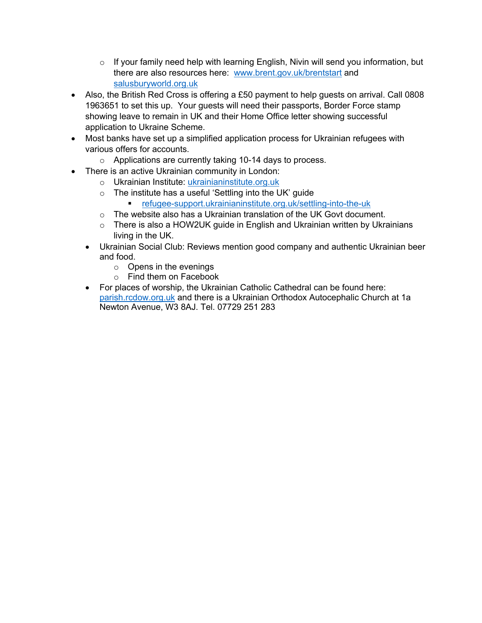- $\circ$  If your family need help with learning English, Nivin will send you information, but there are also resources here: www.brent.gov.uk/brentstart and salusburyworld.org.uk
- Also, the British Red Cross is offering a £50 payment to help quests on arrival. Call 0808 1963651 to set this up. Your guests will need their passports, Border Force stamp showing leave to remain in UK and their Home Office letter showing successful application to Ukraine Scheme.
- Most banks have set up a simplified application process for Ukrainian refugees with various offers for accounts.
	- o Applications are currently taking 10-14 days to process.
- There is an active Ukrainian community in London:
	- o Ukrainian Institute: ukrainianinstitute.org.uk
	- o The institute has a useful 'Settling into the UK' guide
		- refugee-support.ukrainianinstitute.org.uk/settling-into-the-uk
	- o The website also has a Ukrainian translation of the UK Govt document.
	- o There is also a HOW2UK guide in English and Ukrainian written by Ukrainians living in the UK.
	- Ukrainian Social Club: Reviews mention good company and authentic Ukrainian beer and food.
		- o Opens in the evenings
		- o Find them on Facebook
	- For places of worship, the Ukrainian Catholic Cathedral can be found here: parish.rcdow.org.uk and there is a Ukrainian Orthodox Autocephalic Church at 1a Newton Avenue, W3 8AJ. Tel. 07729 251 283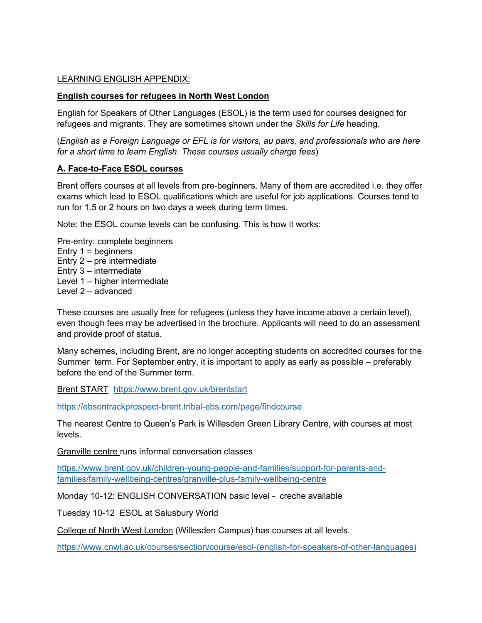#### LEARNING ENGLISH APPENDIX:

#### **English courses for refugees in North West London**

English for Speakers of Other Languages (ESOL) is the term used for courses designed for refugees and migrants. They are sometimes shown under the *Skills for Life* heading.

(*English as a Foreign Language or EFL is for visitors, au pairs, and professionals who are here for a short time to learn English. These courses usually charge fees*)

#### **A. Face-to-Face ESOL courses**

Brent offers courses at all levels from pre-beginners. Many of them are accredited i.e. they offer exams which lead to ESOL qualifications which are useful for job applications. Courses tend to run for 1.5 or 2 hours on two days a week during term times.

Note: the ESOL course levels can be confusing. This is how it works:

Pre-entry: complete beginners Entry  $1 =$  beginners Entry 2 – pre intermediate Entry 3 – intermediate Level 1 – higher intermediate Level 2 – advanced

These courses are usually free for refugees (unless they have income above a certain level), even though fees may be advertised in the brochure. Applicants will need to do an assessment and provide proof of status.

Many schemes, including Brent, are no longer accepting students on accredited courses for the Summer term. For September entry, it is important to apply as early as possible – preferably before the end of the Summer term.

Brent START https://www.brent.gov.uk/brentstart

https://ebsontrackprospect-brent.tribal-ebs.com/page/findcourse

The nearest Centre to Queen's Park is Willesden Green Library Centre, with courses at most levels.

Granville centre runs informal conversation classes

https://www.brent.gov.uk/children-young-people-and-families/support-for-parents-andfamilies/family-wellbeing-centres/granville-plus-family-wellbeing-centre

Monday 10-12: ENGLISH CONVERSATION basic level - creche available

Tuesday 10-12 ESOL at Salusbury World

College of North West London (Willesden Campus) has courses at all levels.

https://www.cnwl.ac.uk/courses/section/course/esol-(english-for-speakers-of-other-languages)